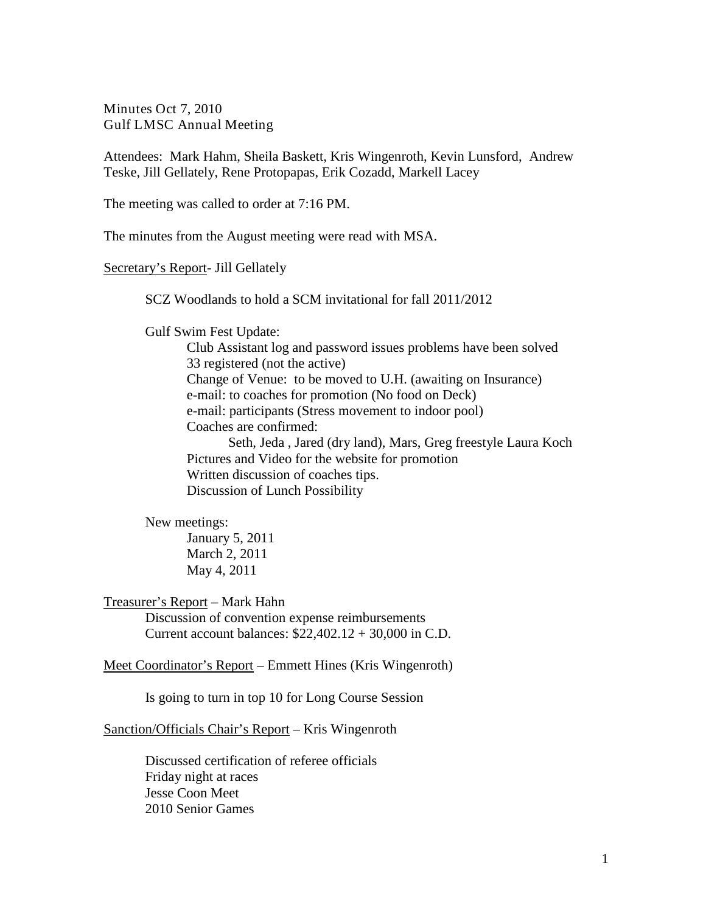Minutes Oct 7, 2010 Gulf LMSC Annual Meeting

Attendees: Mark Hahm, Sheila Baskett, Kris Wingenroth, Kevin Lunsford, Andrew Teske, Jill Gellately, Rene Protopapas, Erik Cozadd, Markell Lacey

The meeting was called to order at 7:16 PM.

The minutes from the August meeting were read with MSA.

Secretary's Report- Jill Gellately

SCZ Woodlands to hold a SCM invitational for fall 2011/2012

Gulf Swim Fest Update:

Club Assistant log and password issues problems have been solved 33 registered (not the active) Change of Venue: to be moved to U.H. (awaiting on Insurance) e-mail: to coaches for promotion (No food on Deck) e-mail: participants (Stress movement to indoor pool) Coaches are confirmed: Seth, Jeda , Jared (dry land), Mars, Greg freestyle Laura Koch Pictures and Video for the website for promotion

Written discussion of coaches tips. Discussion of Lunch Possibility

New meetings:

January 5, 2011 March 2, 2011 May 4, 2011

Treasurer's Report – Mark Hahn

Discussion of convention expense reimbursements Current account balances: \$22,402.12 + 30,000 in C.D.

Meet Coordinator's Report – Emmett Hines (Kris Wingenroth)

Is going to turn in top 10 for Long Course Session

Sanction/Officials Chair's Report – Kris Wingenroth

Discussed certification of referee officials Friday night at races Jesse Coon Meet 2010 Senior Games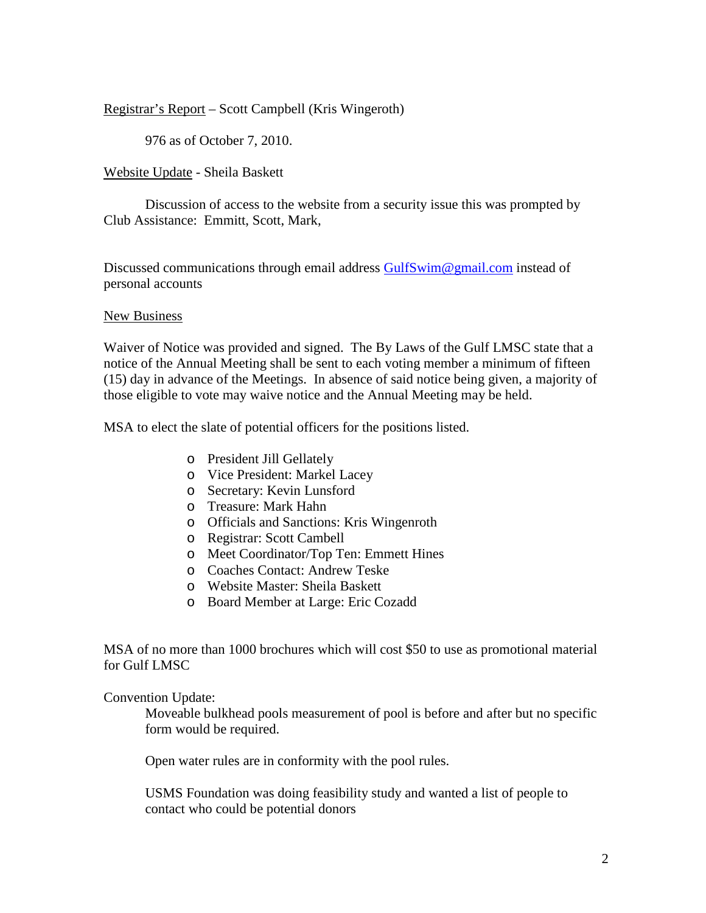Registrar's Report – Scott Campbell (Kris Wingeroth)

976 as of October 7, 2010.

Website Update - Sheila Baskett

Discussion of access to the website from a security issue this was prompted by Club Assistance: Emmitt, Scott, Mark,

Discussed communications through email address [GulfSwim@gmail.com](mailto:GulfSwim@gmail.com) instead of personal accounts

## New Business

Waiver of Notice was provided and signed. The By Laws of the Gulf LMSC state that a notice of the Annual Meeting shall be sent to each voting member a minimum of fifteen (15) day in advance of the Meetings. In absence of said notice being given, a majority of those eligible to vote may waive notice and the Annual Meeting may be held.

MSA to elect the slate of potential officers for the positions listed.

- o President Jill Gellately
- o Vice President: Markel Lacey
- o Secretary: Kevin Lunsford
- o Treasure: Mark Hahn
- o Officials and Sanctions: Kris Wingenroth
- o Registrar: Scott Cambell
- o Meet Coordinator/Top Ten: Emmett Hines
- o Coaches Contact: Andrew Teske
- o Website Master: Sheila Baskett
- o Board Member at Large: Eric Cozadd

MSA of no more than 1000 brochures which will cost \$50 to use as promotional material for Gulf LMSC

Convention Update:

Moveable bulkhead pools measurement of pool is before and after but no specific form would be required.

Open water rules are in conformity with the pool rules.

USMS Foundation was doing feasibility study and wanted a list of people to contact who could be potential donors